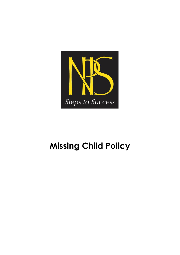

# **Missing Child Policy**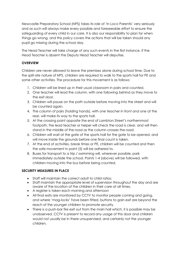Newcastle Preparatory School (NPS) takes its role of 'In Loco Parentis' very seriously and as such will always make every possible and foreseeable effort to ensure the safeguarding of every child in our care. It is also our responsibility to plan for when things go wrong, and this policy covers the actions that will be taken should any pupil go missing during the school day.

The Head Teacher will take charge of any such events in the first instance. If the Head Teacher is absent the Deputy Head Teacher will deputise.

## **OVERVIEW**

Children are never allowed to leave the premises alone during school time. Due to the split-site nature of NPS, children are required to walk to the sports hall for PE and some other activities. The procedure for this movement is as follows:

- 1. Children will be lined up in their usual classroom in pairs and counted.
- 2. One teacher will lead the column, with one following behind as they move to the exit door.
- 3. Children will pause on the path outside before moving into the street and will be counted again.
- 4. The column of pairs (holding hands), with one teacher in front and one at the rear, will make its way to the sports hall.
- 5. At the crossing point opposite the end of Lambton Street's northernmost footpath, the lead teacher or helper will check the road is clear, and will then stand in the middle of the road as the column crosses the road.
- 6. Children will wait at the gate of the sports hall for the gate to be opened, and will move inside the grounds before one final count is taken.
- 7. At the end of activities, break times or PE, children will be counted and then the safe movement in point (5) will be adhered to.
- 8. Buses for transport to a trip / swimming will, wherever possible, park immediately outside the school. Points 1-4 (above) will be followed, with children moving into the bus before being counted.

# **SECURITY MEASURES IN PLACE**

- Staff will maintain the correct adult to child ratios.
- Staff maintain the appropriate level of supervision throughout the day and are aware of the location of the children in their care at all times.
- A register is taken each morning and afternoon
- All final exits are monitored by CCTV to monitor people coming and going, and where 'mag-locks' have been fitted, buttons to gain exit are beyond the reach of the younger children to promote security.
- There is a push-bar fire exit out from the main hall which, it is possible may be unobserved. CCTV is present to record any usage of this door and children would not usually be in there unsupervised, and certainly not the younger children.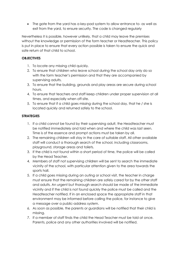• The gate from the yard has a key-pad system to allow entrance to- as well as exit from the yard, to ensure security. The code is changed regularly

Nevertheless it is possible, however unlikely, that a child may leave the premises without the knowledge or permission of the form teacher or Headteacher. This policy is put in place to ensure that every action possible is taken to ensure the quick and safe return of that child to school.

#### **OBJECTIVES**

- 1. To locate any missing child quickly.
- 2. To ensure that children who leave school during the school day only do so with the form teacher's permission and that they are accompanied by supervising adults.
- 3. To ensure that the building, grounds and play areas are secure during school hours.
- 4. To ensure that teachers and staff keep children under proper supervision at all times, and especially when off-site.
- 5. To ensure that if a child goes missing during the school day, that he / she is located quickly and returned safely to the school.

## **STRATEGIES**

- 1. If a child cannot be found by their supervising adult, the Headteacher must be notified immediately and told when and where the child was last seen. Time is of the essence and prompt actions must be taken by all.
- 2. The remaining children will stay in the care of suitable staff. All other available staff will conduct a thorough search of the school, including classrooms, playground, storage areas and toilets.
- 3. If the child is not found within a short period of time, the police will be called by the Head Teacher.
- 4. Members of staff not supervising children will be sent to search the immediate vicinity of the school, with particular attention given to the area towards the sports hall.
- 5. If a child goes missing during an outing or school visit, the teacher in charge must ensure that the remaining children are safely cared for by the other staff and adults. An urgent but thorough search should be made of the immediate vicinity and if the child is not found quickly the police must be called and the Headteacher notified. If in an enclosed space the appropriate staff in that environment may be informed before calling the police, for instance to give a message over a public-address system.
- 6. As soon as possible, the parents or guardians will be notified that their child is missing.
- 7. If a member of staff finds the child the Head Teacher must be told at once. Parents, police and any other authorities involved will be notified.